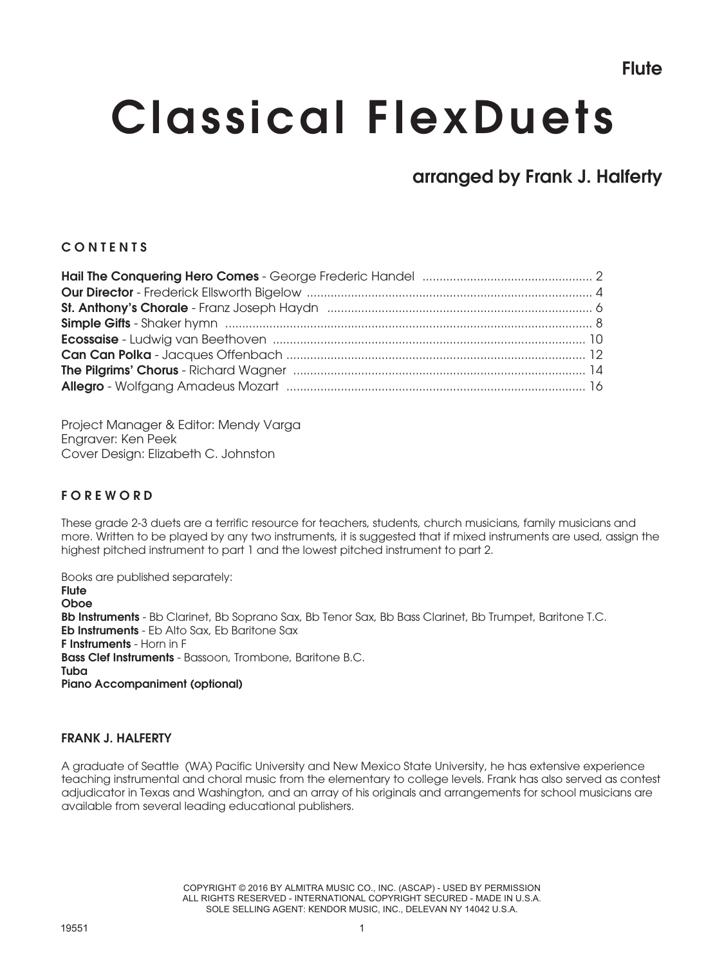# Classical FlexDuets

## arranged by Frank J. Halferty

#### **CONTENTS**

Project Manager & Editor: Mendy Varga Engraver: Ken Peek Cover Design: Elizabeth C. Johnston

#### F O R E W O R D

These grade 2-3 duets are a terrific resource for teachers, students, church musicians, family musicians and more. Written to be played by any two instruments, it is suggested that if mixed instruments are used, assign the highest pitched instrument to part 1 and the lowest pitched instrument to part 2.

Books are published separately: **Flute** Oboe Bb Instruments - Bb Clarinet, Bb Soprano Sax, Bb Tenor Sax, Bb Bass Clarinet, Bb Trumpet, Baritone T.C. Eb Instruments - Eb Alto Sax, Eb Baritone Sax **F Instruments - Horn in F** Bass Clef Instruments - Bassoon, Trombone, Baritone B.C. Tuba Piano Accompaniment (optional)

#### FRANK J. HALFERTY

A graduate of Seattle (WA) Pacific University and New Mexico State University, he has extensive experience teaching instrumental and choral music from the elementary to college levels. Frank has also served as contest adjudicator in Texas and Washington, and an array of his originals and arrangements for school musicians are available from several leading educational publishers.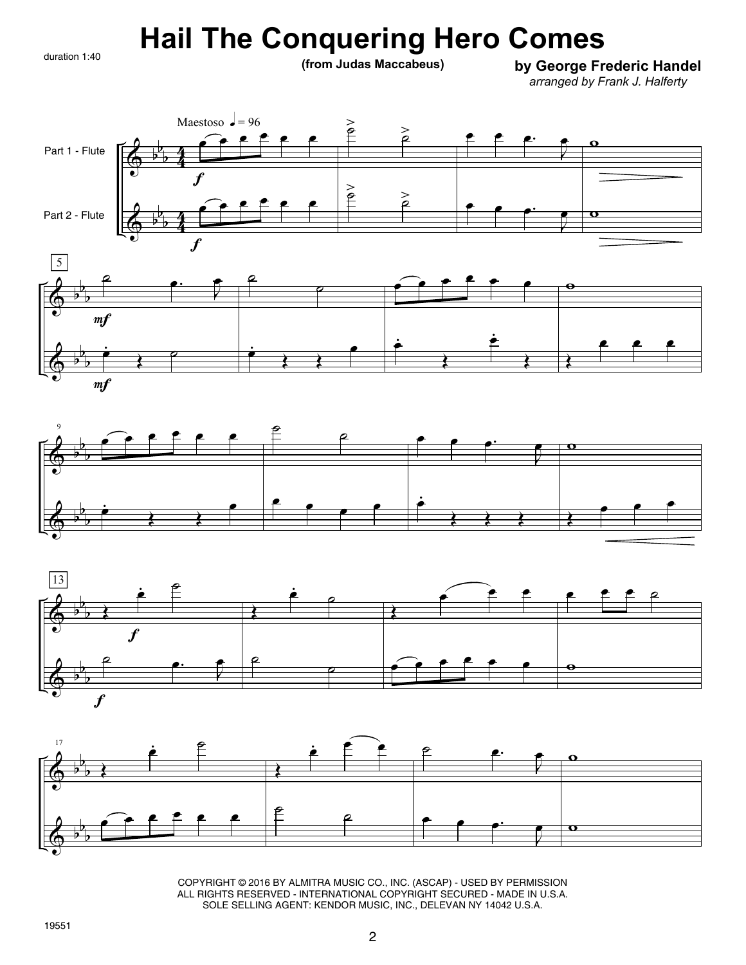## **Hail The Conquering Hero Comes** duration 1:40 **(from Judas Maccabeus)**

**by George Frederic Handel** *arranged by Frank J. Halferty*







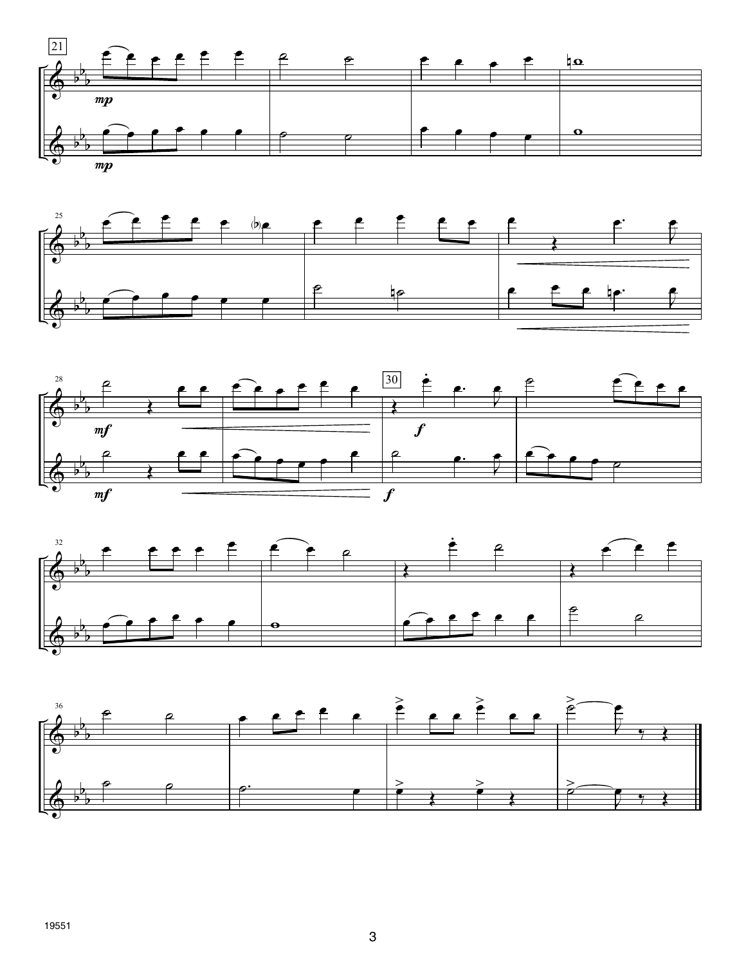







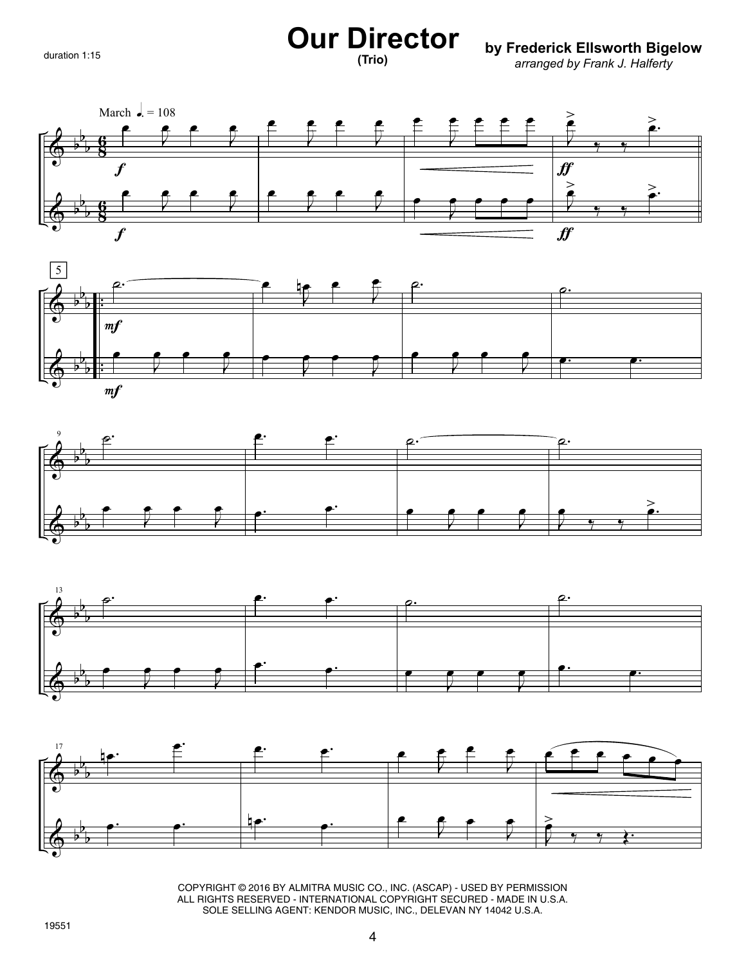### **Our Director by Frederick Ellsworth Bigelow (Trio)**









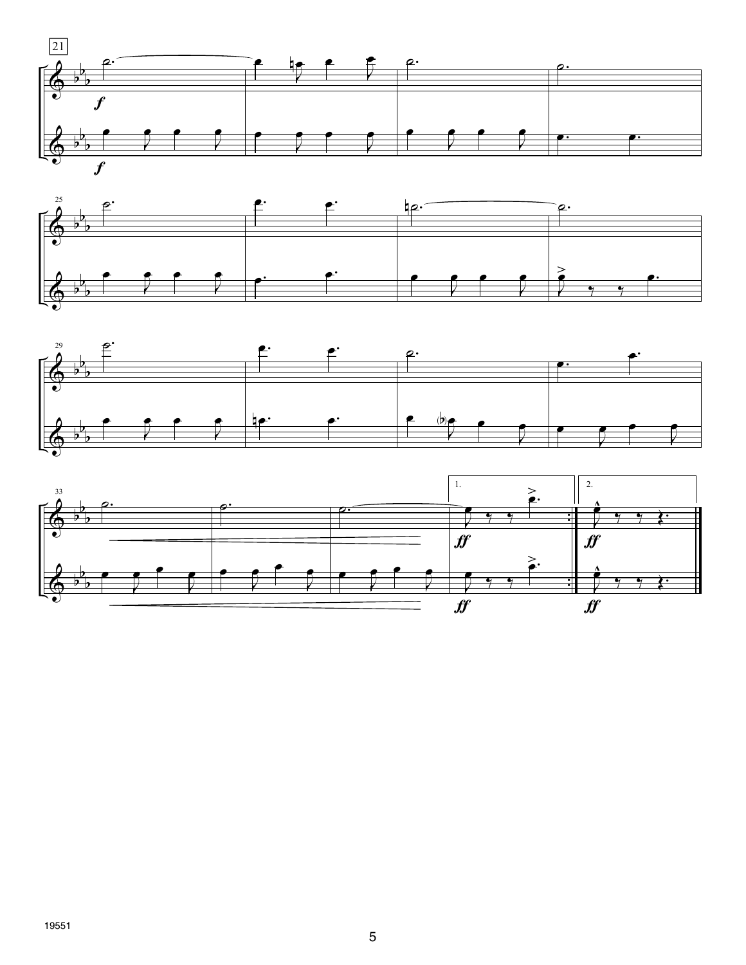





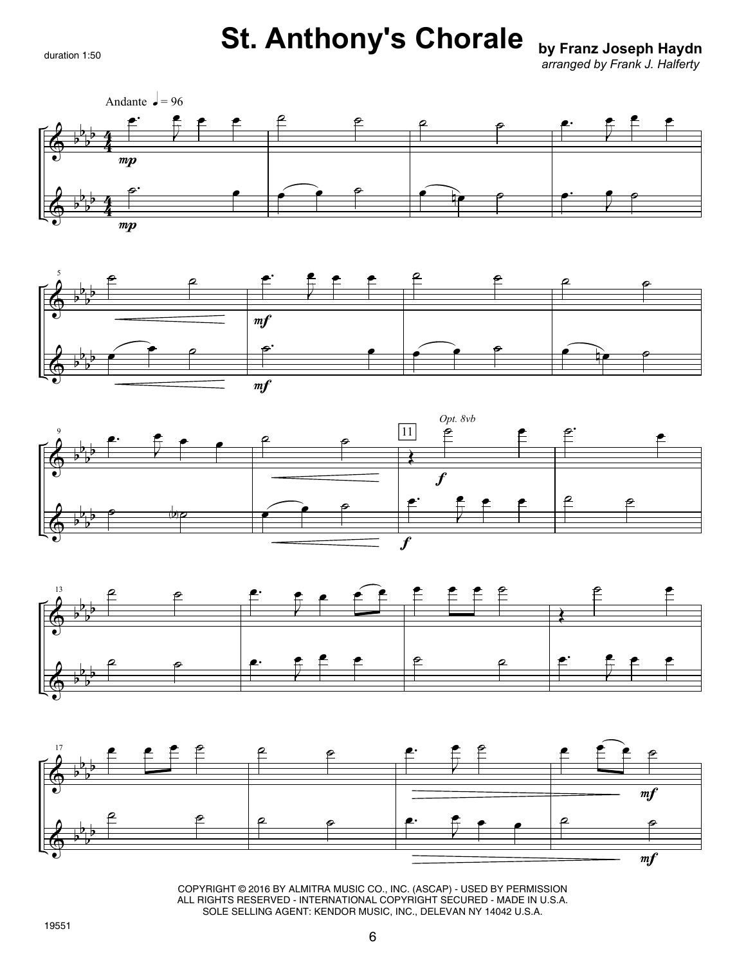duration 1:50

# **St. Anthony's Chorale by Franz Joseph Haydn**

*arranged by Frank J. Halferty*









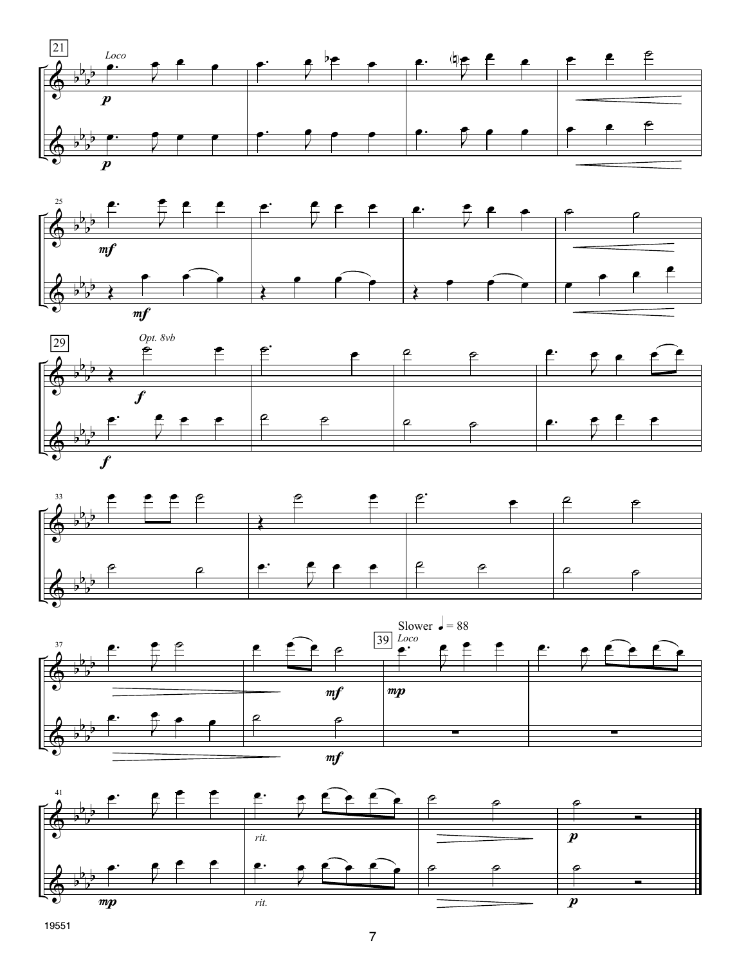









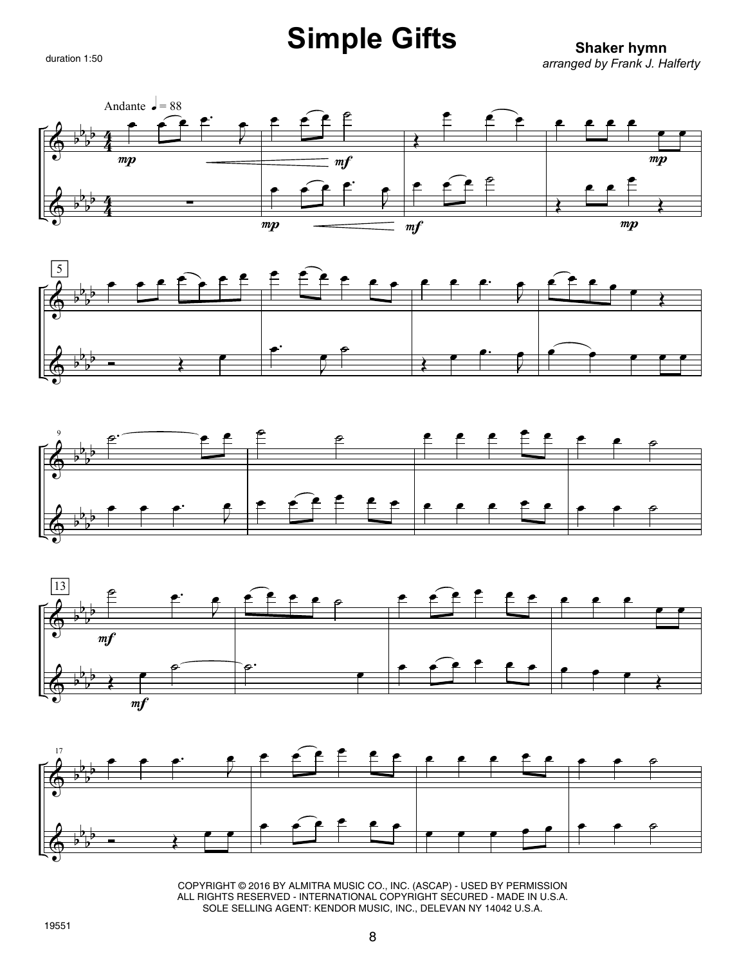# **Simple Gifts** Shaker hymn

*arranged by Frank J. Halferty*











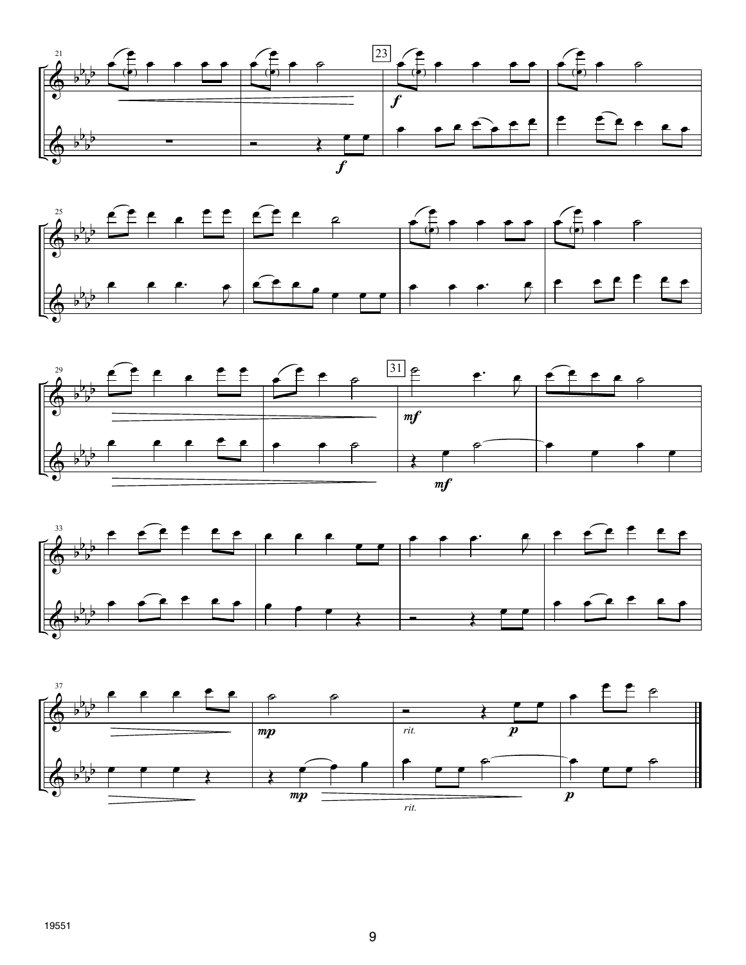







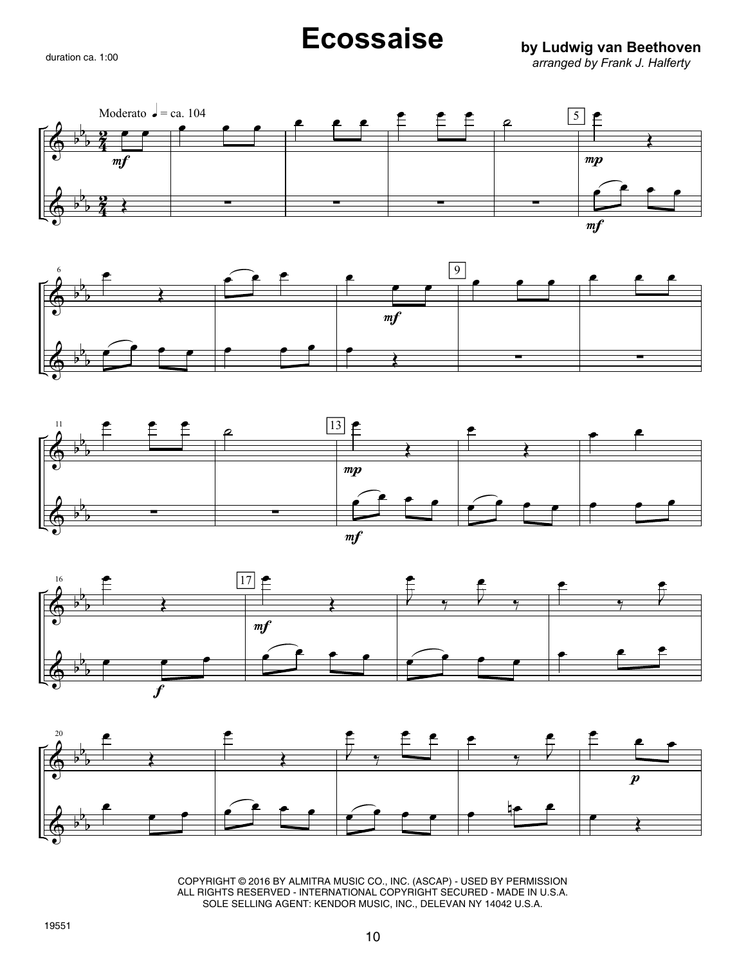duration ca. 1:00

## **Ecossaise**

**by Ludwig van Beethoven** *arranged by Frank J. Halferty*









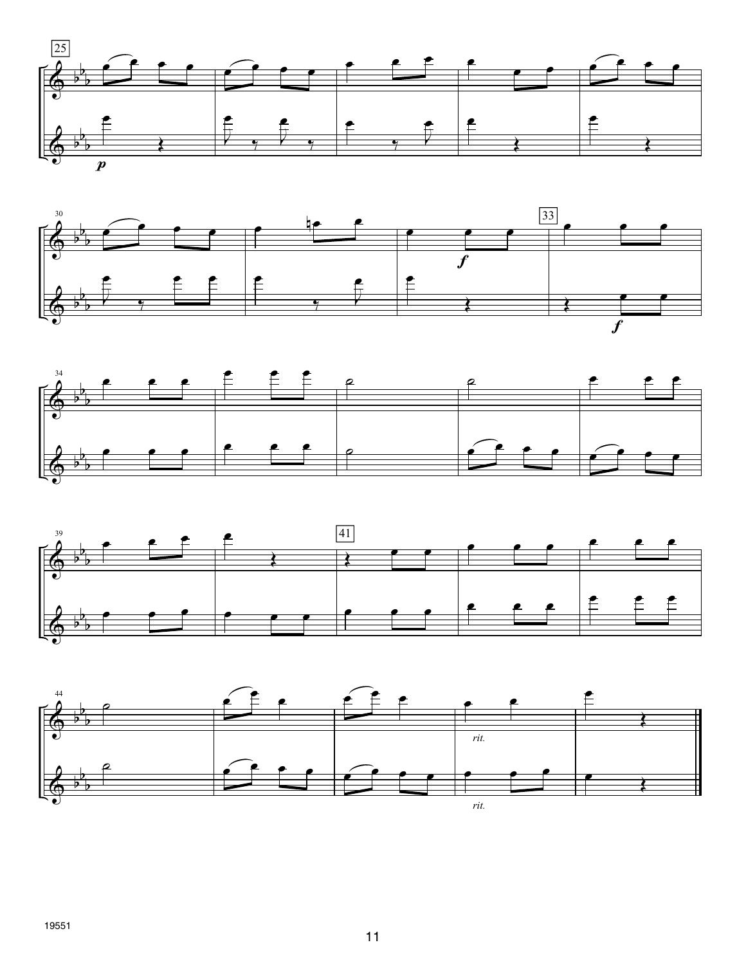









19551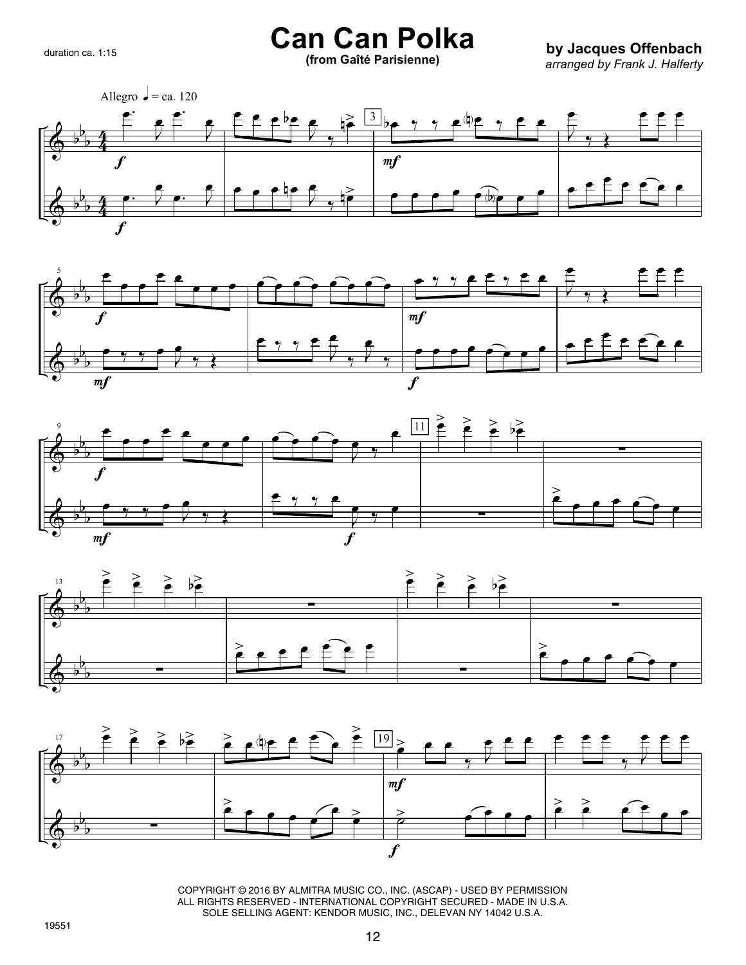**Can Can Polka by Jacques Offenbach (from Gaîté Parisienne)**

*arranged by Frank J. Halferty*











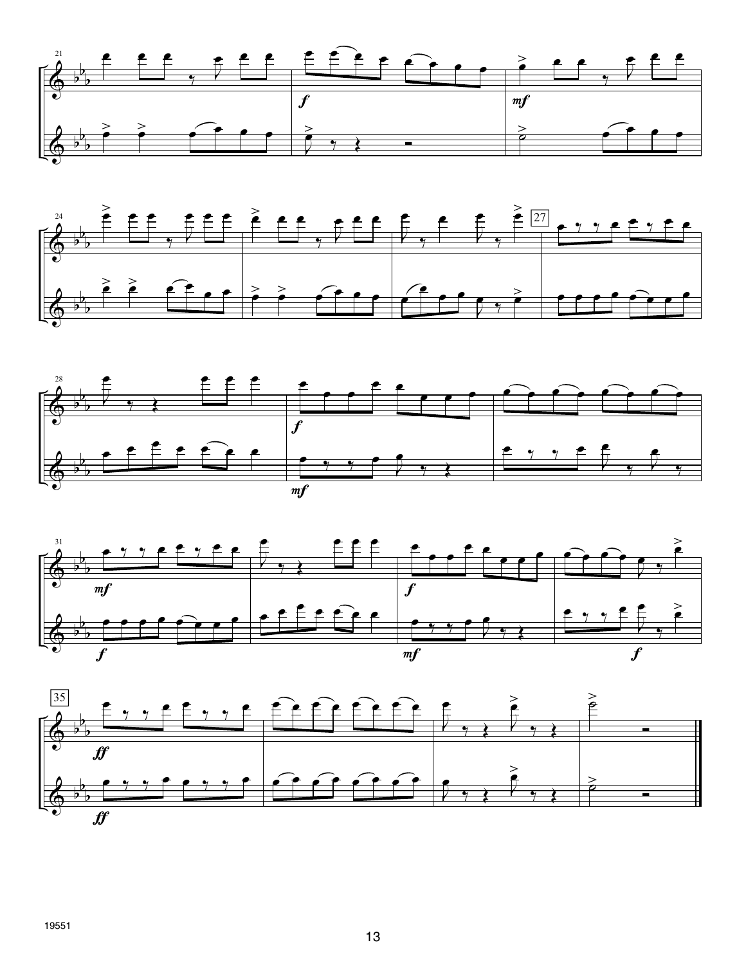







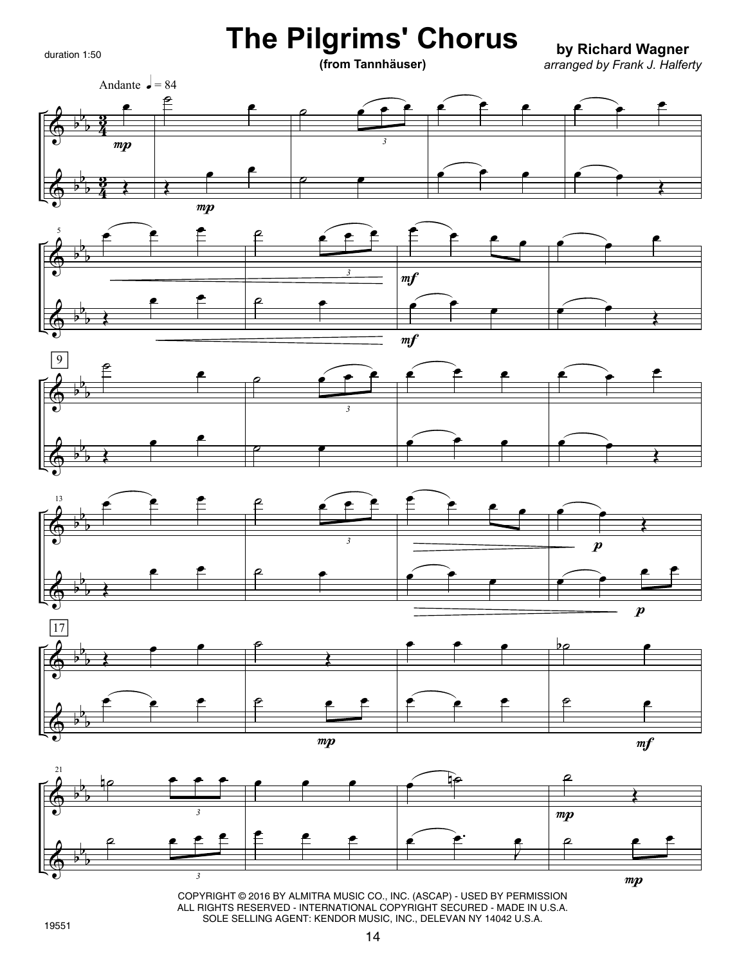

ALL RIGHTS RESERVED - INTERNATIONAL COPYRIGHT SECURED - MADE IN U.S.A. SOLE SELLING AGENT: KENDOR MUSIC, INC., DELEVAN NY 14042 U.S.A.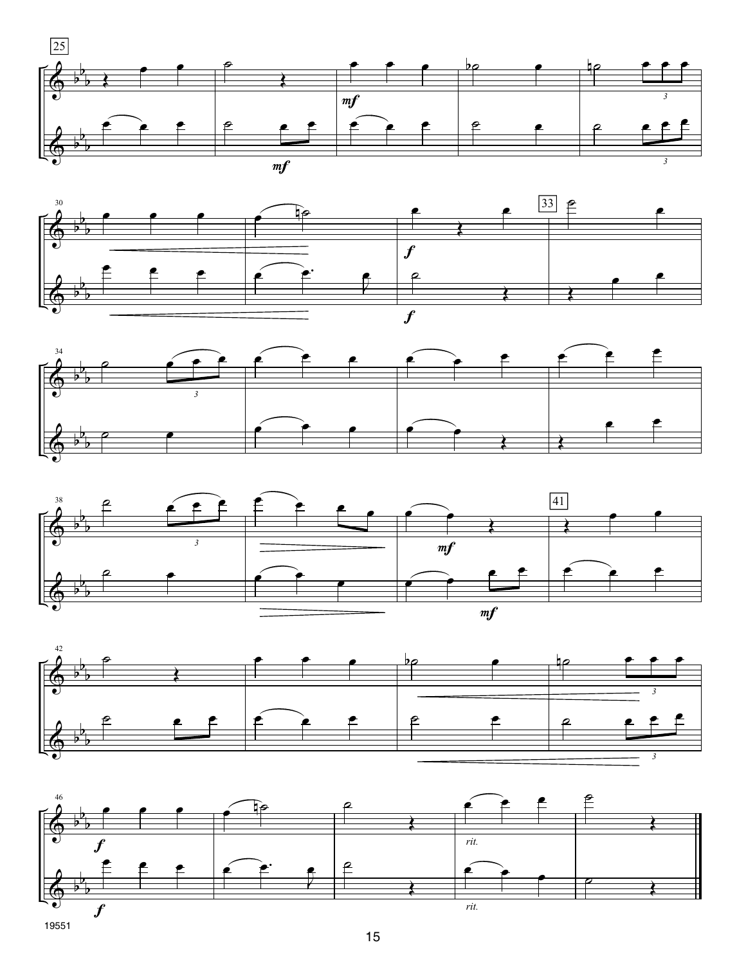